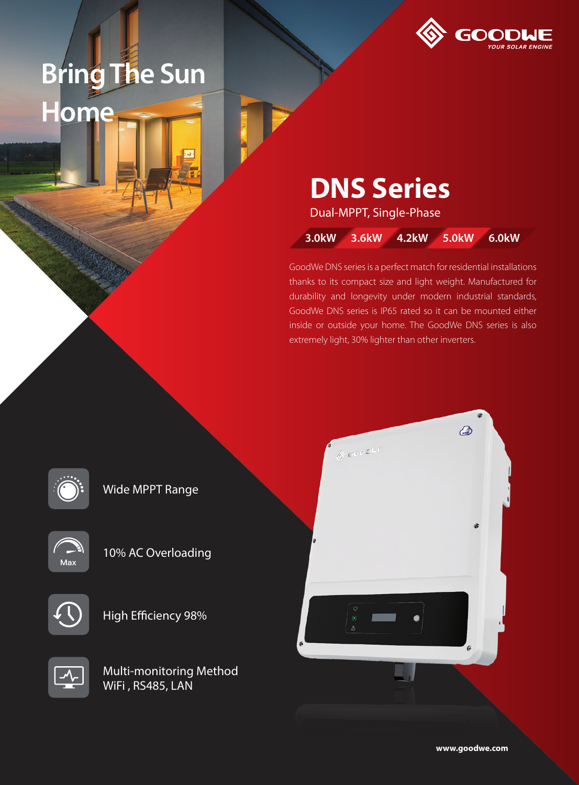## **Bring The Sun Home**



## **DNS Series**

Dual-MPPT, Single-Phase

**3.0kW 3.6kW 4.2kW 5.0kW 6.0kW**

GoodWe DNS series is a perfect match for residential installations thanks to its compact size and light weight. Manufactured for durability and longevity under modern industrial standards, GoodWe DNS series is IP65 rated so it can be mounted either inside or outside your home. The GoodWe DNS series is also extremely light, 30% lighter than other inverters.

Wide MPPT Range



10% AC Overloading



High Efficiency 98%



Multi-monitoring Method WiFi , RS485, LAN



**www.goodwe.com**